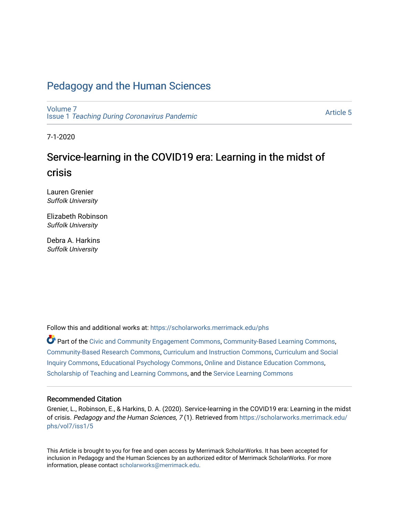## [Pedagogy and the Human Sciences](https://scholarworks.merrimack.edu/phs)

[Volume 7](https://scholarworks.merrimack.edu/phs/vol7) Issue 1 [Teaching During Coronavirus Pandemic](https://scholarworks.merrimack.edu/phs/vol7/iss1)

[Article 5](https://scholarworks.merrimack.edu/phs/vol7/iss1/5) 

7-1-2020

# Service-learning in the COVID19 era: Learning in the midst of crisis

Lauren Grenier Suffolk University

Elizabeth Robinson Suffolk University

Debra A. Harkins Suffolk University

Follow this and additional works at: [https://scholarworks.merrimack.edu/phs](https://scholarworks.merrimack.edu/phs?utm_source=scholarworks.merrimack.edu%2Fphs%2Fvol7%2Fiss1%2F5&utm_medium=PDF&utm_campaign=PDFCoverPages) 

Part of the [Civic and Community Engagement Commons](http://network.bepress.com/hgg/discipline/1028?utm_source=scholarworks.merrimack.edu%2Fphs%2Fvol7%2Fiss1%2F5&utm_medium=PDF&utm_campaign=PDFCoverPages), [Community-Based Learning Commons](http://network.bepress.com/hgg/discipline/1046?utm_source=scholarworks.merrimack.edu%2Fphs%2Fvol7%2Fiss1%2F5&utm_medium=PDF&utm_campaign=PDFCoverPages), [Community-Based Research Commons](http://network.bepress.com/hgg/discipline/1047?utm_source=scholarworks.merrimack.edu%2Fphs%2Fvol7%2Fiss1%2F5&utm_medium=PDF&utm_campaign=PDFCoverPages), [Curriculum and Instruction Commons](http://network.bepress.com/hgg/discipline/786?utm_source=scholarworks.merrimack.edu%2Fphs%2Fvol7%2Fiss1%2F5&utm_medium=PDF&utm_campaign=PDFCoverPages), [Curriculum and Social](http://network.bepress.com/hgg/discipline/1038?utm_source=scholarworks.merrimack.edu%2Fphs%2Fvol7%2Fiss1%2F5&utm_medium=PDF&utm_campaign=PDFCoverPages)  [Inquiry Commons,](http://network.bepress.com/hgg/discipline/1038?utm_source=scholarworks.merrimack.edu%2Fphs%2Fvol7%2Fiss1%2F5&utm_medium=PDF&utm_campaign=PDFCoverPages) [Educational Psychology Commons](http://network.bepress.com/hgg/discipline/798?utm_source=scholarworks.merrimack.edu%2Fphs%2Fvol7%2Fiss1%2F5&utm_medium=PDF&utm_campaign=PDFCoverPages), [Online and Distance Education Commons,](http://network.bepress.com/hgg/discipline/1296?utm_source=scholarworks.merrimack.edu%2Fphs%2Fvol7%2Fiss1%2F5&utm_medium=PDF&utm_campaign=PDFCoverPages) [Scholarship of Teaching and Learning Commons,](http://network.bepress.com/hgg/discipline/1328?utm_source=scholarworks.merrimack.edu%2Fphs%2Fvol7%2Fiss1%2F5&utm_medium=PDF&utm_campaign=PDFCoverPages) and the [Service Learning Commons](http://network.bepress.com/hgg/discipline/1024?utm_source=scholarworks.merrimack.edu%2Fphs%2Fvol7%2Fiss1%2F5&utm_medium=PDF&utm_campaign=PDFCoverPages) 

#### Recommended Citation

Grenier, L., Robinson, E., & Harkins, D. A. (2020). Service-learning in the COVID19 era: Learning in the midst of crisis. Pedagogy and the Human Sciences, 7 (1). Retrieved from [https://scholarworks.merrimack.edu/](https://scholarworks.merrimack.edu/phs/vol7/iss1/5?utm_source=scholarworks.merrimack.edu%2Fphs%2Fvol7%2Fiss1%2F5&utm_medium=PDF&utm_campaign=PDFCoverPages) [phs/vol7/iss1/5](https://scholarworks.merrimack.edu/phs/vol7/iss1/5?utm_source=scholarworks.merrimack.edu%2Fphs%2Fvol7%2Fiss1%2F5&utm_medium=PDF&utm_campaign=PDFCoverPages)

This Article is brought to you for free and open access by Merrimack ScholarWorks. It has been accepted for inclusion in Pedagogy and the Human Sciences by an authorized editor of Merrimack ScholarWorks. For more information, please contact [scholarworks@merrimack.edu.](mailto:scholarworks@merrimack.edu)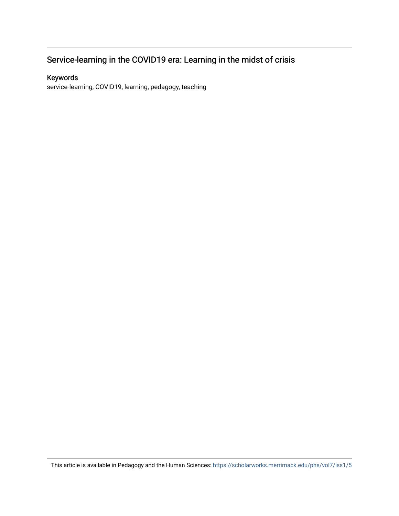## Service-learning in the COVID19 era: Learning in the midst of crisis

## Keywords

service-learning, COVID19, learning, pedagogy, teaching

This article is available in Pedagogy and the Human Sciences: <https://scholarworks.merrimack.edu/phs/vol7/iss1/5>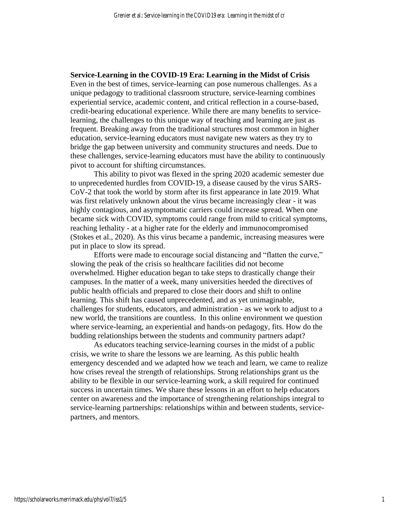#### **Service-Learning in the COVID-19 Era: Learning in the Midst of Crisis**

Even in the best of times, service-learning can pose numerous challenges. As a unique pedagogy to traditional classroom structure, service-learning combines experiential service, academic content, and critical reflection in a course-based, credit-bearing educational experience. While there are many benefits to servicelearning, the challenges to this unique way of teaching and learning are just as frequent. Breaking away from the traditional structures most common in higher education, service-learning educators must navigate new waters as they try to bridge the gap between university and community structures and needs. Due to these challenges, service-learning educators must have the ability to continuously pivot to account for shifting circumstances.

This ability to pivot was flexed in the spring 2020 academic semester due to unprecedented hurdles from COVID-19, a disease caused by the virus SARS-CoV-2 that took the world by storm after its first appearance in late 2019. What was first relatively unknown about the virus became increasingly clear - it was highly contagious, and asymptomatic carriers could increase spread. When one became sick with COVID, symptoms could range from mild to critical symptoms, reaching lethality - at a higher rate for the elderly and immunocompromised (Stokes et al., 2020). As this virus became a pandemic, increasing measures were put in place to slow its spread.

Efforts were made to encourage social distancing and "flatten the curve," slowing the peak of the crisis so healthcare facilities did not become overwhelmed. Higher education began to take steps to drastically change their campuses. In the matter of a week, many universities heeded the directives of public health officials and prepared to close their doors and shift to online learning. This shift has caused unprecedented, and as yet unimaginable, challenges for students, educators, and administration - as we work to adjust to a new world, the transitions are countless. In this online environment we question where service-learning, an experiential and hands-on pedagogy, fits. How do the budding relationships between the students and community partners adapt?

As educators teaching service-learning courses in the midst of a public crisis, we write to share the lessons we are learning. As this public health emergency descended and we adapted how we teach and learn, we came to realize how crises reveal the strength of relationships. Strong relationships grant us the ability to be flexible in our service-learning work, a skill required for continued success in uncertain times. We share these lessons in an effort to help educators center on awareness and the importance of strengthening relationships integral to service-learning partnerships: relationships within and between students, servicepartners, and mentors.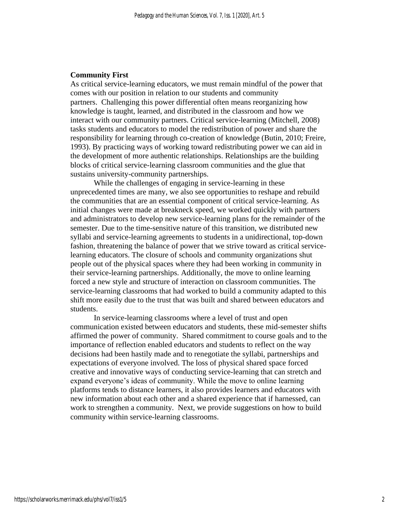#### **Community First**

As critical service-learning educators, we must remain mindful of the power that comes with our position in relation to our students and community partners. Challenging this power differential often means reorganizing how knowledge is taught, learned, and distributed in the classroom and how we interact with our community partners. Critical service-learning (Mitchell, 2008) tasks students and educators to model the redistribution of power and share the responsibility for learning through co-creation of knowledge (Butin, 2010; Freire, 1993). By practicing ways of working toward redistributing power we can aid in the development of more authentic relationships. Relationships are the building blocks of critical service-learning classroom communities and the glue that sustains university-community partnerships.

While the challenges of engaging in service-learning in these unprecedented times are many, we also see opportunities to reshape and rebuild the communities that are an essential component of critical service-learning. As initial changes were made at breakneck speed, we worked quickly with partners and administrators to develop new service-learning plans for the remainder of the semester. Due to the time-sensitive nature of this transition, we distributed new syllabi and service-learning agreements to students in a unidirectional, top-down fashion, threatening the balance of power that we strive toward as critical servicelearning educators. The closure of schools and community organizations shut people out of the physical spaces where they had been working in community in their service-learning partnerships. Additionally, the move to online learning forced a new style and structure of interaction on classroom communities. The service-learning classrooms that had worked to build a community adapted to this shift more easily due to the trust that was built and shared between educators and students.

In service-learning classrooms where a level of trust and open communication existed between educators and students, these mid-semester shifts affirmed the power of community. Shared commitment to course goals and to the importance of reflection enabled educators and students to reflect on the way decisions had been hastily made and to renegotiate the syllabi, partnerships and expectations of everyone involved. The loss of physical shared space forced creative and innovative ways of conducting service-learning that can stretch and expand everyone's ideas of community. While the move to online learning platforms tends to distance learners, it also provides learners and educators with new information about each other and a shared experience that if harnessed, can work to strengthen a community. Next, we provide suggestions on how to build community within service-learning classrooms.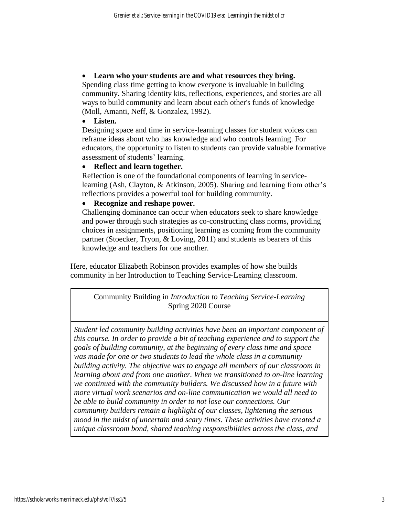## • **Learn who your students are and what resources they bring.**

Spending class time getting to know everyone is invaluable in building community. Sharing identity kits, reflections, experiences, and stories are all ways to build community and learn about each other's funds of knowledge (Moll, Amanti, Neff, & Gonzalez, 1992).

## • **Listen.**

Designing space and time in service-learning classes for student voices can reframe ideas about who has knowledge and who controls learning. For educators, the opportunity to listen to students can provide valuable formative assessment of students' learning.

## • **Reflect and learn together.**

Reflection is one of the foundational components of learning in servicelearning (Ash, Clayton, & Atkinson, 2005). Sharing and learning from other's reflections provides a powerful tool for building community.

## • **Recognize and reshape power.**

Challenging dominance can occur when educators seek to share knowledge and power through such strategies as co-constructing class norms, providing choices in assignments, positioning learning as coming from the community partner (Stoecker, Tryon, & Loving, 2011) and students as bearers of this knowledge and teachers for one another.

Here, educator Elizabeth Robinson provides examples of how she builds community in her Introduction to Teaching Service-Learning classroom.

Community Building in *Introduction to Teaching Service-Learning* Spring 2020 Course

*Student led community building activities have been an important component of this course. In order to provide a bit of teaching experience and to support the goals of building community, at the beginning of every class time and space was made for one or two students to lead the whole class in a community building activity. The objective was to engage all members of our classroom in learning about and from one another. When we transitioned to on-line learning we continued with the community builders. We discussed how in a future with more virtual work scenarios and on-line communication we would all need to be able to build community in order to not lose our connections. Our community builders remain a highlight of our classes, lightening the serious mood in the midst of uncertain and scary times. These activities have created a unique classroom bond, shared teaching responsibilities across the class, and*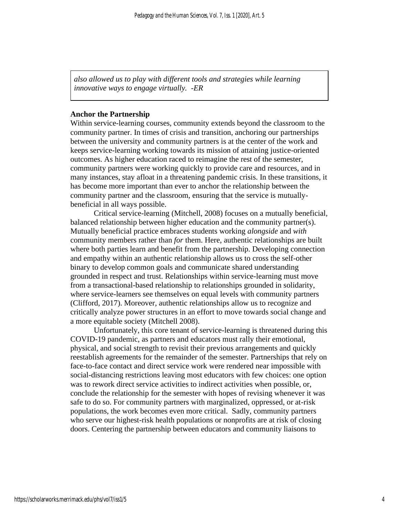*also allowed us to play with different tools and strategies while learning innovative ways to engage virtually. -ER*

#### **Anchor the Partnership**

Within service-learning courses, community extends beyond the classroom to the community partner. In times of crisis and transition, anchoring our partnerships between the university and community partners is at the center of the work and keeps service-learning working towards its mission of attaining justice-oriented outcomes. As higher education raced to reimagine the rest of the semester, community partners were working quickly to provide care and resources, and in many instances, stay afloat in a threatening pandemic crisis. In these transitions, it has become more important than ever to anchor the relationship between the community partner and the classroom, ensuring that the service is mutuallybeneficial in all ways possible.

Critical service-learning (Mitchell, 2008) focuses on a mutually beneficial, balanced relationship between higher education and the community partner(s). Mutually beneficial practice embraces students working *alongside* and *with* community members rather than *for* them. Here, authentic relationships are built where both parties learn and benefit from the partnership. Developing connection and empathy within an authentic relationship allows us to cross the self-other binary to develop common goals and communicate shared understanding grounded in respect and trust. Relationships within service-learning must move from a transactional-based relationship to relationships grounded in solidarity, where service-learners see themselves on equal levels with community partners (Clifford, 2017). Moreover, authentic relationships allow us to recognize and critically analyze power structures in an effort to move towards social change and a more equitable society (Mitchell 2008).

Unfortunately, this core tenant of service-learning is threatened during this COVID-19 pandemic, as partners and educators must rally their emotional, physical, and social strength to revisit their previous arrangements and quickly reestablish agreements for the remainder of the semester. Partnerships that rely on face-to-face contact and direct service work were rendered near impossible with social-distancing restrictions leaving most educators with few choices: one option was to rework direct service activities to indirect activities when possible, or, conclude the relationship for the semester with hopes of revising whenever it was safe to do so. For community partners with marginalized, oppressed, or at-risk populations, the work becomes even more critical. Sadly, community partners who serve our highest-risk health populations or nonprofits are at risk of closing doors. Centering the partnership between educators and community liaisons to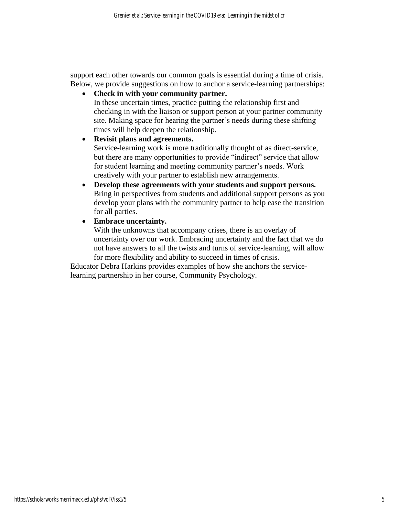support each other towards our common goals is essential during a time of crisis. Below, we provide suggestions on how to anchor a service-learning partnerships:

• **Check in with your community partner.**

In these uncertain times, practice putting the relationship first and checking in with the liaison or support person at your partner community site. Making space for hearing the partner's needs during these shifting times will help deepen the relationship.

• **Revisit plans and agreements.**

Service-learning work is more traditionally thought of as direct-service, but there are many opportunities to provide "indirect" service that allow for student learning and meeting community partner's needs. Work creatively with your partner to establish new arrangements.

- **Develop these agreements with your students and support persons.** Bring in perspectives from students and additional support persons as you develop your plans with the community partner to help ease the transition for all parties.
- **Embrace uncertainty.**

With the unknowns that accompany crises, there is an overlay of uncertainty over our work. Embracing uncertainty and the fact that we do not have answers to all the twists and turns of service-learning, will allow for more flexibility and ability to succeed in times of crisis.

Educator Debra Harkins provides examples of how she anchors the servicelearning partnership in her course, Community Psychology.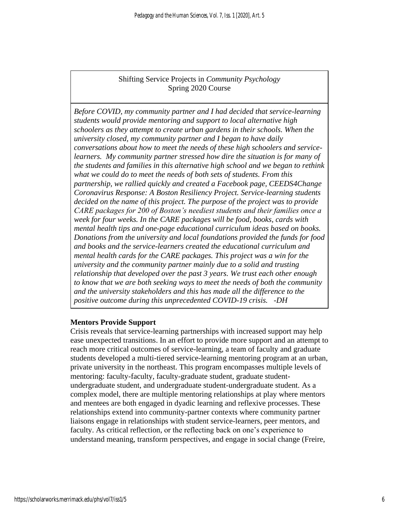## Shifting Service Projects in *Community Psychology* Spring 2020 Course

*Before COVID, my community partner and I had decided that service-learning students would provide mentoring and support to local alternative high schoolers as they attempt to create urban gardens in their schools. When the university closed, my community partner and I began to have daily conversations about how to meet the needs of these high schoolers and servicelearners. My community partner stressed how dire the situation is for many of the students and families in this alternative high school and we began to rethink what we could do to meet the needs of both sets of students. From this partnership, we rallied quickly and created a Facebook page, CEEDS4Change Coronavirus Response: A Boston Resiliency Project. Service-learning students decided on the name of this project. The purpose of the project was to provide CARE packages for 200 of Boston's neediest students and their families once a week for four weeks. In the CARE packages will be food, books, cards with mental health tips and one-page educational curriculum ideas based on books. Donations from the university and local foundations provided the funds for food and books and the service-learners created the educational curriculum and mental health cards for the CARE packages. This project was a win for the university and the community partner mainly due to a solid and trusting relationship that developed over the past 3 years. We trust each other enough to know that we are both seeking ways to meet the needs of both the community and the university stakeholders and this has made all the difference to the positive outcome during this unprecedented COVID-19 crisis. -DH*

## **Mentors Provide Support**

Crisis reveals that service-learning partnerships with increased support may help ease unexpected transitions. In an effort to provide more support and an attempt to reach more critical outcomes of service-learning, a team of faculty and graduate students developed a multi-tiered service-learning mentoring program at an urban, private university in the northeast. This program encompasses multiple levels of mentoring: faculty-faculty, faculty-graduate student, graduate studentundergraduate student, and undergraduate student-undergraduate student. As a complex model, there are multiple mentoring relationships at play where mentors and mentees are both engaged in dyadic learning and reflexive processes. These relationships extend into community-partner contexts where community partner liaisons engage in relationships with student service-learners, peer mentors, and faculty. As critical reflection, or the reflecting back on one's experience to understand meaning, transform perspectives, and engage in social change (Freire,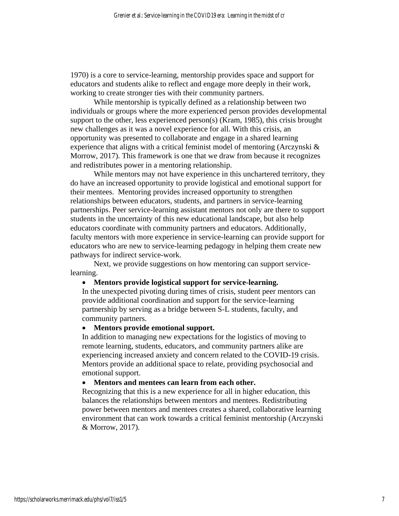1970) is a core to service-learning, mentorship provides space and support for educators and students alike to reflect and engage more deeply in their work, working to create stronger ties with their community partners.

While mentorship is typically defined as a relationship between two individuals or groups where the more experienced person provides developmental support to the other, less experienced person(s) (Kram, 1985), this crisis brought new challenges as it was a novel experience for all. With this crisis, an opportunity was presented to collaborate and engage in a shared learning experience that aligns with a critical feminist model of mentoring (Arczynski & Morrow, 2017). This framework is one that we draw from because it recognizes and redistributes power in a mentoring relationship.

While mentors may not have experience in this unchartered territory, they do have an increased opportunity to provide logistical and emotional support for their mentees. Mentoring provides increased opportunity to strengthen relationships between educators, students, and partners in service-learning partnerships. Peer service-learning assistant mentors not only are there to support students in the uncertainty of this new educational landscape, but also help educators coordinate with community partners and educators. Additionally, faculty mentors with more experience in service-learning can provide support for educators who are new to service-learning pedagogy in helping them create new pathways for indirect service-work.

Next, we provide suggestions on how mentoring can support servicelearning.

#### • **Mentors provide logistical support for service-learning.**

In the unexpected pivoting during times of crisis, student peer mentors can provide additional coordination and support for the service-learning partnership by serving as a bridge between S-L students, faculty, and community partners.

#### • **Mentors provide emotional support.**

In addition to managing new expectations for the logistics of moving to remote learning, students, educators, and community partners alike are experiencing increased anxiety and concern related to the COVID-19 crisis. Mentors provide an additional space to relate, providing psychosocial and emotional support.

#### • **Mentors and mentees can learn from each other.**

Recognizing that this is a new experience for all in higher education, this balances the relationships between mentors and mentees. Redistributing power between mentors and mentees creates a shared, collaborative learning environment that can work towards a critical feminist mentorship (Arczynski & Morrow, 2017).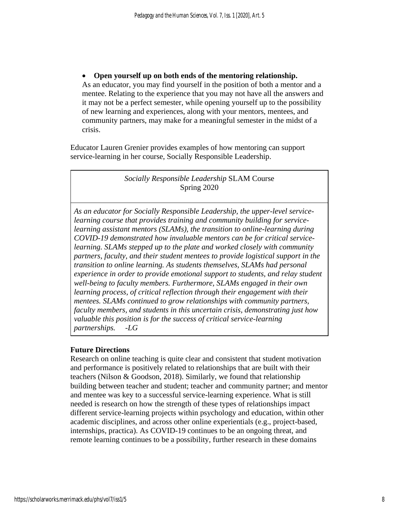• **Open yourself up on both ends of the mentoring relationship.** As an educator, you may find yourself in the position of both a mentor and a mentee. Relating to the experience that you may not have all the answers and it may not be a perfect semester, while opening yourself up to the possibility of new learning and experiences, along with your mentors, mentees, and community partners, may make for a meaningful semester in the midst of a crisis.

Educator Lauren Grenier provides examples of how mentoring can support service-learning in her course, Socially Responsible Leadership.

## *Socially Responsible Leadership* SLAM Course Spring 2020

*As an educator for Socially Responsible Leadership, the upper-level servicelearning course that provides training and community building for servicelearning assistant mentors (SLAMs), the transition to online-learning during COVID-19 demonstrated how invaluable mentors can be for critical servicelearning. SLAMs stepped up to the plate and worked closely with community partners, faculty, and their student mentees to provide logistical support in the transition to online learning. As students themselves, SLAMs had personal experience in order to provide emotional support to students, and relay student well-being to faculty members. Furthermore, SLAMs engaged in their own learning process, of critical reflection through their engagement with their mentees. SLAMs continued to grow relationships with community partners, faculty members, and students in this uncertain crisis, demonstrating just how valuable this position is for the success of critical service-learning partnerships. -LG*

## **Future Directions**

Research on online teaching is quite clear and consistent that student motivation and performance is positively related to relationships that are built with their teachers (Nilson & Goodson, 2018). Similarly, we found that relationship building between teacher and student; teacher and community partner; and mentor and mentee was key to a successful service-learning experience. What is still needed is research on how the strength of these types of relationships impact different service-learning projects within psychology and education, within other academic disciplines, and across other online experientials (e.g., project-based, internships, practica). As COVID-19 continues to be an ongoing threat, and remote learning continues to be a possibility, further research in these domains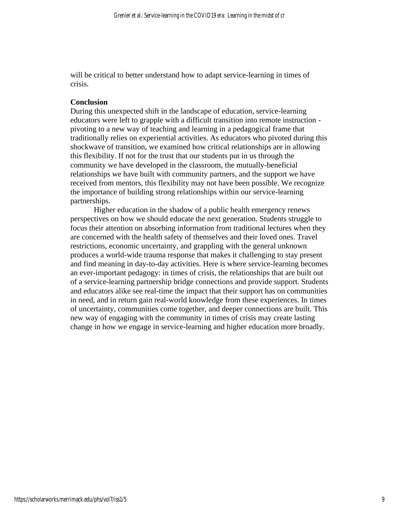will be critical to better understand how to adapt service-learning in times of crisis.

#### **Conclusion**

During this unexpected shift in the landscape of education, service-learning educators were left to grapple with a difficult transition into remote instruction pivoting to a new way of teaching and learning in a pedagogical frame that traditionally relies on experiential activities. As educators who pivoted during this shockwave of transition, we examined how critical relationships are in allowing this flexibility. If not for the trust that our students put in us through the community we have developed in the classroom, the mutually-beneficial relationships we have built with community partners, and the support we have received from mentors, this flexibility may not have been possible. We recognize the importance of building strong relationships within our service-learning partnerships.

Higher education in the shadow of a public health emergency renews perspectives on how we should educate the next generation. Students struggle to focus their attention on absorbing information from traditional lectures when they are concerned with the health safety of themselves and their loved ones. Travel restrictions, economic uncertainty, and grappling with the general unknown produces a world-wide trauma response that makes it challenging to stay present and find meaning in day-to-day activities. Here is where service-learning becomes an ever-important pedagogy: in times of crisis, the relationships that are built out of a service-learning partnership bridge connections and provide support. Students and educators alike see real-time the impact that their support has on communities in need, and in return gain real-world knowledge from these experiences. In times of uncertainty, communities come together, and deeper connections are built. This new way of engaging with the community in times of crisis may create lasting change in how we engage in service-learning and higher education more broadly.